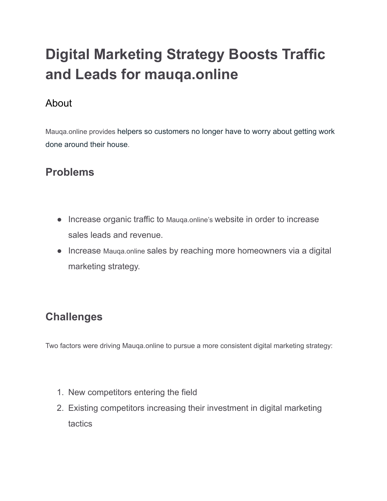# **Digital Marketing Strategy Boosts Traffic and Leads for mauqa.online**

## About

Mauqa.online provides helpers so customers no longer have to worry about getting work done around their house.

## **Problems**

- Increase organic traffic to Mauqa.online's website in order to increase sales leads and revenue.
- Increase Mauga.online sales by reaching more homeowners via a digital marketing strategy.

## **Challenges**

Two factors were driving Mauqa.online to pursue a more consistent digital marketing strategy:

- 1. New competitors entering the field
- 2. Existing competitors increasing their investment in digital marketing tactics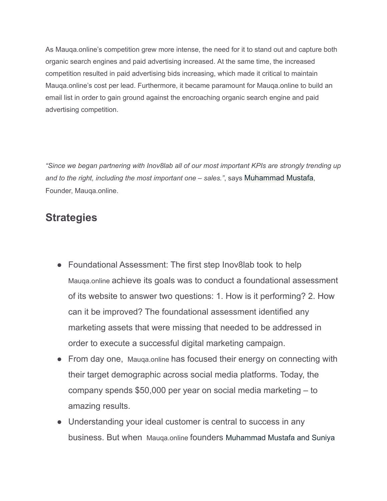As Mauqa.online's competition grew more intense, the need for it to stand out and capture both organic search engines and paid advertising increased. At the same time, the increased competition resulted in paid advertising bids increasing, which made it critical to maintain Mauqa.online's cost per lead. Furthermore, it became paramount for Mauqa.online to build an email list in order to gain ground against the encroaching organic search engine and paid advertising competition.

*"Since we began partnering with Inov8lab all of our most important KPIs are strongly trending up and to the right, including the most important one – sales."*, says Muhammad Mustafa, Founder, Mauqa.online.

### **Strategies**

- Foundational Assessment: The first step Inov8lab took to help Mauqa.online achieve its goals was to conduct a foundational assessment of its website to answer two questions: 1. How is it performing? 2. How can it be improved? The foundational assessment identified any marketing assets that were missing that needed to be addressed in order to execute a successful digital marketing campaign.
- From day one, Mauga.online has focused their energy on connecting with their target demographic across social media platforms. Today, the company spends \$50,000 per year on social media marketing – to amazing results.
- Understanding your ideal customer is central to success in any business. But when Mauqa.online founders Muhammad Mustafa and Suniya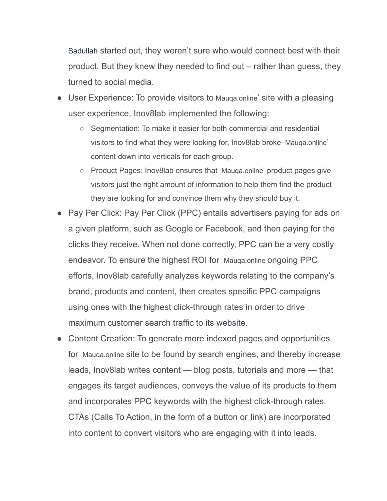Sadullah started out, they weren't sure who would connect best with their product. But they knew they needed to find out – rather than guess, they turned to social media.

- User Experience: To provide visitors to Mauga.online' site with a pleasing user experience, Inov8lab implemented the following:
	- Segmentation: To make it easier for both commercial and residential visitors to find what they were looking for, Inov8lab broke Mauqa.online' content down into verticals for each group.
	- Product Pages: Inov8lab ensures that Mauqa.online' product pages give visitors just the right amount of information to help them find the product they are looking for and convince them why they should buy it.
- Pay Per Click: Pay Per Click (PPC) entails advertisers paying for ads on a given platform, such as Google or Facebook, and then paying for the clicks they receive. When not done correctly, PPC can be a very costly endeavor. To ensure the highest ROI for Mauqa.online ongoing PPC efforts, Inov8lab carefully analyzes keywords relating to the company's brand, products and content, then creates specific PPC campaigns using ones with the highest click-through rates in order to drive maximum customer search traffic to its website.
- Content Creation: To generate more indexed pages and opportunities for Mauqa.online site to be found by search engines, and thereby increase leads, Inov8lab writes content — blog posts, tutorials and more — that engages its target audiences, conveys the value of its products to them and incorporates PPC keywords with the highest click-through rates. CTAs (Calls To Action, in the form of a button or link) are incorporated into content to convert visitors who are engaging with it into leads.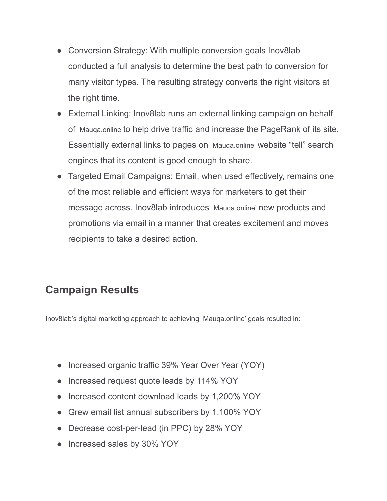- Conversion Strategy: With multiple conversion goals Inov8lab conducted a full analysis to determine the best path to conversion for many visitor types. The resulting strategy converts the right visitors at the right time.
- External Linking: Inov8lab runs an external linking campaign on behalf of Mauqa.online to help drive traffic and increase the PageRank of its site. Essentially external links to pages on Mauqa.online' website "tell" search engines that its content is good enough to share.
- Targeted Email Campaigns: Email, when used effectively, remains one of the most reliable and efficient ways for marketers to get their message across. Inov8lab introduces Mauqa.online' new products and promotions via email in a manner that creates excitement and moves recipients to take a desired action.

## **Campaign Results**

Inov8lab's digital marketing approach to achieving Mauqa.online' goals resulted in:

- Increased organic traffic 39% Year Over Year (YOY)
- Increased request quote leads by 114% YOY
- Increased content download leads by 1,200% YOY
- Grew email list annual subscribers by 1,100% YOY
- Decrease cost-per-lead (in PPC) by 28% YOY
- Increased sales by 30% YOY